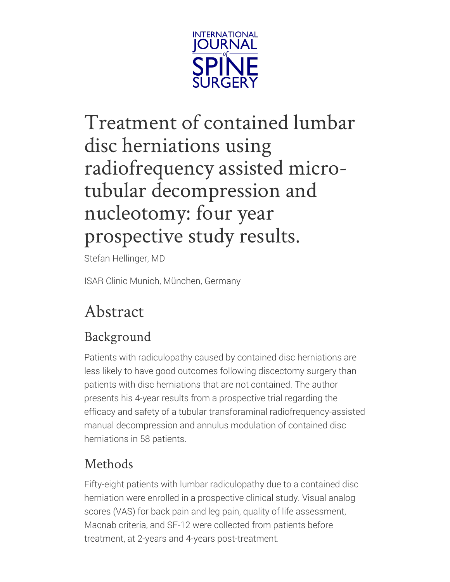

# <span id="page-0-0"></span>Treatment of contained lumbar disc herniations using radiofrequency assisted microtubular decompression and nucleotomy: four year prospective study results.

Stefan Hellinger, MD

ISAR Clinic Munich, München, Germany

# Abstract

### Background

Patients with radiculopathy caused by contained disc herniations are less likely to have good outcomes following discectomy surgery than patients with disc herniations that are not contained. The author presents his 4-year results from a prospective trial regarding the efficacy and safety of a tubular transforaminal radiofrequency-assisted manual decompression and annulus modulation of contained disc herniations in 58 patients.

### Methods

Fifty-eight patients with lumbar radiculopathy due to a contained disc herniation were enrolled in a prospective clinical study. Visual analog scores (VAS) for back pain and leg pain, quality of life assessment, Macnab criteria, and SF-12 were collected from patients before treatment, at 2-years and 4-years post-treatment.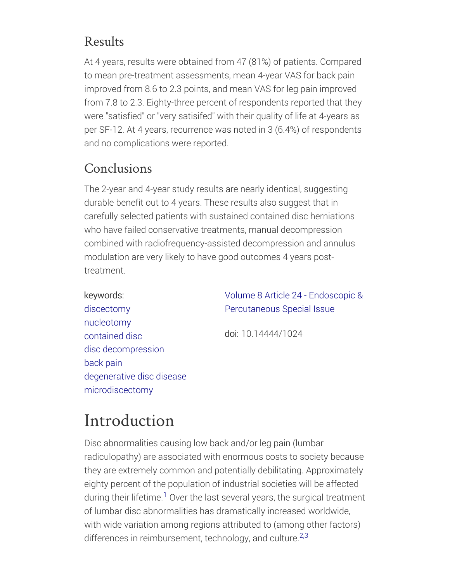#### Results

At 4 years, results were obtained from 47 (81%) of patients. Compared to mean pre-treatment assessments, mean 4-year VAS for back pain improved from 8.6 to 2.3 points, and mean VAS for leg pain improved from 7.8 to 2.3. Eighty-three percent of respondents reported that they were "satisfied" or "very satisifed" with their quality of life at 4-years as per SF-12. At 4 years, recurrence was noted in 3 (6.4%) of respondents and no complications were reported.

### Conclusions

keywords:

The 2-year and 4-year study results are nearly identical, suggesting durable benefit out to 4 years. These results also suggest that in carefully selected patients with sustained contained disc herniations who have failed conservative treatments, manual decompression combined with radiofrequency-assisted decompression and annulus modulation are very likely to have good outcomes 4 years posttreatment.

> Volume 8 Article 24 - Endoscopic & [Percutaneous](/Tags/Volume-8-Article-24-Endoscopic-Percutaneous-Special-Issue) Special Issue

[discectomy](/Tags/discectomy) [nucleotomy](/Tags/nucleotomy) [contained](/Tags/contained-disc) disc disc [decompression](/Tags/disc-decompression) [back](/Tags/back-pain) pain [degenerative](/Tags/degenerative-disc-disease) disc disease [microdiscectomy](/Tags/microdiscectomy)

doi: 10.14444/1024

# Introduction

Disc abnormalities causing low back and/or leg pain (lumbar radiculopathy) are associated with enormous costs to society because they are extremely common and potentially debilitating. Approximately eighty percent of the population of industrial societies will be affected during their lifetime.<sup>1</sup> Over the last several years, the surgical treatment of lumbar disc abnormalities has dramatically increased worldwide, with wide variation among regions attributed to (among other factors) differences in reimbursement, technology, and culture.<sup>2,3</sup>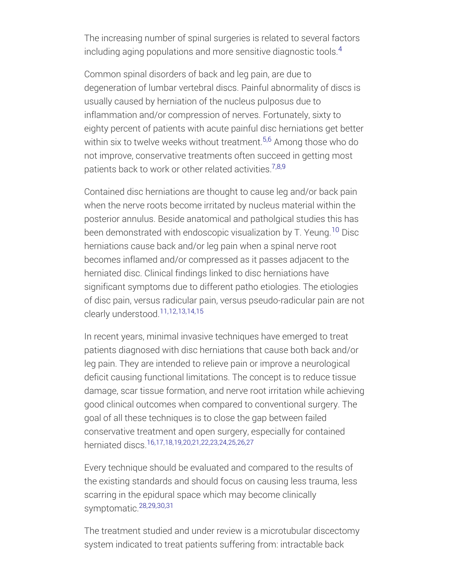The increasing number of spinal surgeries is related to several factors including aging populations and more sensitive diagnostic tools. $^{\rm 4}$ 

Common spinal disorders of back and leg pain, are due to degeneration of lumbar vertebral discs. Painful abnormality of discs is usually caused by herniation of the nucleus pulposus due to inflammation and/or compression of nerves. Fortunately, sixty to eighty percent of patients with acute painful disc herniations get better within six to twelve weeks without treatment. $^{5,6}$  Among those who do not improve, conservative treatments often succeed in getting most patients back to work or other related activities.<sup>7,8,9</sup>

Contained disc herniations are thought to cause leg and/or back pain when the nerve roots become irritated by nucleus material within the posterior annulus. Beside anatomical and patholgical studies this has been demonstrated with endoscopic visualization by T. Yeung.<sup>10</sup> Disc herniations cause back and/or leg pain when a spinal nerve root becomes inflamed and/or compressed as it passes adjacent to the herniated disc. Clinical findings linked to disc herniations have significant symptoms due to different patho etiologies. The etiologies of disc pain, versus radicular pain, versus pseudo-radicular pain are not clearly understood. 11,12,13,14,15

In recent years, minimal invasive techniques have emerged to treat patients diagnosed with disc herniations that cause both back and/or leg pain. They are intended to relieve pain or improve a neurological deficit causing functional limitations. The concept is to reduce tissue damage, scar tissue formation, and nerve root irritation while achieving good clinical outcomes when compared to conventional surgery. The goal of all these techniques is to close the gap between failed conservative treatment and open surgery, especially for contained herniated discs. 16,17,18,19,20,21,22,23,24,25,26,27

Every technique should be evaluated and compared to the results of the existing standards and should focus on causing less trauma, less scarring in the epidural space which may become clinically symptomatic. 28,29,30,31

The treatment studied and under review is a microtubular discectomy system indicated to treat patients suffering from: intractable back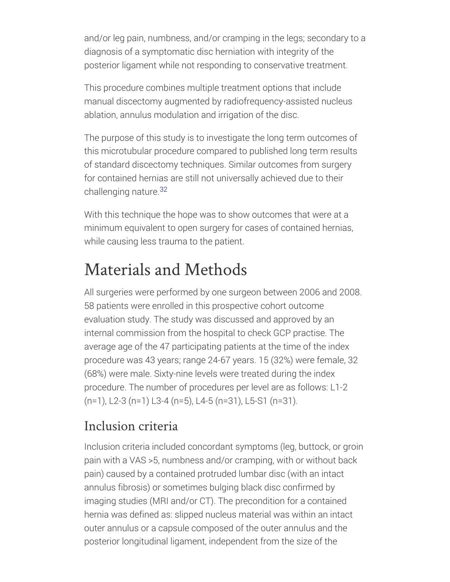and/or leg pain, numbness, and/or cramping in the legs; secondary to a diagnosis of a symptomatic disc herniation with integrity of the posterior ligament while not responding to conservative treatment.

This procedure combines multiple treatment options that include manual discectomy augmented by radiofrequency-assisted nucleus ablation, annulus modulation and irrigation of the disc.

The purpose of this study is to investigate the long term outcomes of this microtubular procedure compared to published long term results of standard discectomy techniques. Similar outcomes from surgery for contained hernias are still not universally achieved due to their challenging nature. 32

With this technique the hope was to show outcomes that were at a minimum equivalent to open surgery for cases of contained hernias, while causing less trauma to the patient.

## Materials and Methods

All surgeries were performed by one surgeon between 2006 and 2008. 58 patients were enrolled in this prospective cohort outcome evaluation study. The study was discussed and approved by an internal commission from the hospital to check GCP practise. The average age of the 47 participating patients at the time of the index procedure was 43 years; range 24-67 years. 15 (32%) were female, 32 (68%) were male. Sixty-nine levels were treated during the index procedure. The number of procedures per level are as follows: L1-2 (n=1), L2-3 (n=1) L3-4 (n=5), L4-5 (n=31), L5-S1 (n=31).

### Inclusion criteria

Inclusion criteria included concordant symptoms (leg, buttock, or groin pain with a VAS >5, numbness and/or cramping, with or without back pain) caused by a contained protruded lumbar disc (with an intact annulus fibrosis) or sometimes bulging black disc confirmed by imaging studies (MRI and/or CT). The precondition for a contained hernia was defined as: slipped nucleus material was within an intact outer annulus or a capsule composed of the outer annulus and the posterior longitudinal ligament, independent from the size of the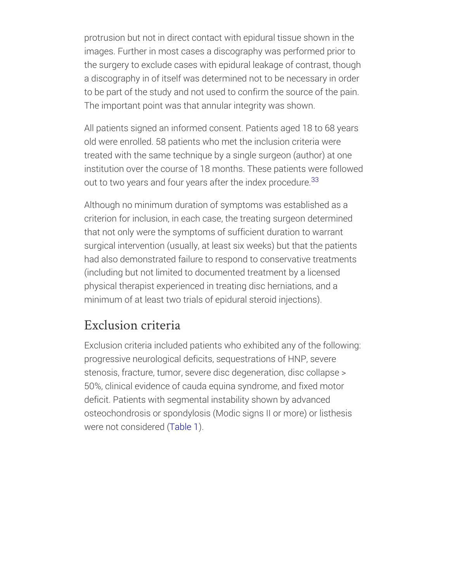protrusion but not in direct contact with epidural tissue shown in the images. Further in most cases a discography was performed prior to the surgery to exclude cases with epidural leakage of contrast, though a discography in of itself was determined not to be necessary in order to be part of the study and not used to confirm the source of the pain. The important point was that annular integrity was shown.

All patients signed an informed consent. Patients aged 18 to 68 years old were enrolled. 58 patients who met the inclusion criteria were treated with the same technique by a single surgeon (author) at one institution over the course of 18 months. These patients were followed out to two years and four years after the index procedure.<sup>33</sup>

Although no minimum duration of symptoms was established as a criterion for inclusion, in each case, the treating surgeon determined that not only were the symptoms of sufficient duration to warrant surgical intervention (usually, at least six weeks) but that the patients had also demonstrated failure to respond to conservative treatments (including but not limited to documented treatment by a licensed physical therapist experienced in treating disc herniations, and a minimum of at least two trials of epidural steroid injections).

#### Exclusion criteria

Exclusion criteria included patients who exhibited any of the following: progressive neurological deficits, sequestrations of HNP, severe stenosis, fracture, tumor, severe disc degeneration, disc collapse > 50%, clinical evidence of cauda equina syndrome, and fixed motor deficit. Patients with segmental instability shown by advanced osteochondrosis or spondylosis (Modic signs II or more) or listhesis were not considered [\(Table](#page-0-0) 1).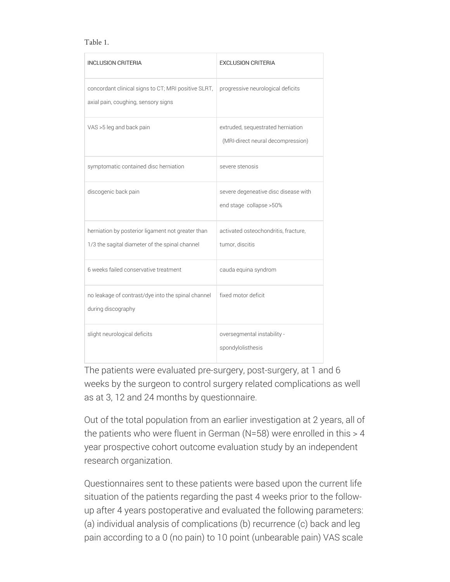#### Table 1.

| <b>INCLUSION CRITERIA</b>                                                                           | <b><i>EXCLUSION CRITERIA</i></b>                                       |  |
|-----------------------------------------------------------------------------------------------------|------------------------------------------------------------------------|--|
| concordant clinical signs to CT; MRI positive SLRT,<br>axial pain, coughing, sensory signs          | progressive neurological deficits                                      |  |
| VAS >5 leg and back pain                                                                            | extruded, sequestrated herniation<br>(MRI-direct neural decompression) |  |
| symptomatic contained disc herniation                                                               | severe stenosis                                                        |  |
| discogenic back pain                                                                                | severe degeneative disc disease with<br>end stage collapse > 50%       |  |
| herniation by posterior ligament not greater than<br>1/3 the sagital diameter of the spinal channel | activated osteochondritis, fracture,<br>tumor, discitis                |  |
| 6 weeks failed conservative treatment                                                               | cauda equina syndrom                                                   |  |
| no leakage of contrast/dye into the spinal channel<br>during discography                            | fixed motor deficit                                                    |  |
| slight neurological deficits                                                                        | oversegmental instability -<br>spondylolisthesis                       |  |

The patients were evaluated pre-surgery, post-surgery, at 1 and 6 weeks by the surgeon to control surgery related complications as well as at 3, 12 and 24 months by questionnaire.

Out of the total population from an earlier investigation at 2 years, all of the patients who were fluent in German (N=58) were enrolled in this > 4 year prospective cohort outcome evaluation study by an independent research organization.

Questionnaires sent to these patients were based upon the current life situation of the patients regarding the past 4 weeks prior to the followup after 4 years postoperative and evaluated the following parameters: (a) individual analysis of complications (b) recurrence (c) back and leg pain according to a 0 (no pain) to 10 point (unbearable pain) VAS scale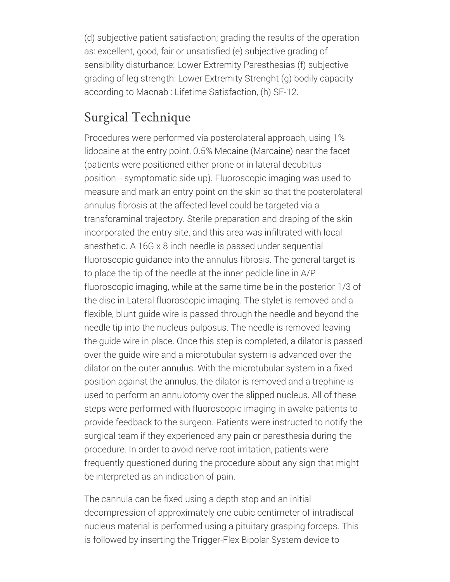(d) subjective patient satisfaction; grading the results of the operation as: excellent, good, fair or unsatisfied (e) subjective grading of sensibility disturbance: Lower Extremity Paresthesias (f) subjective grading of leg strength: Lower Extremity Strenght (g) bodily capacity according to Macnab : Lifetime Satisfaction, (h) SF-12.

### Surgical Technique

Procedures were performed via posterolateral approach, using 1% lidocaine at the entry point, 0.5% Mecaine (Marcaine) near the facet (patients were positioned either prone or in lateral decubitus position— symptomatic side up). Fluoroscopic imaging was used to measure and mark an entry point on the skin so that the posterolateral annulus fibrosis at the affected level could be targeted via a transforaminal trajectory. Sterile preparation and draping of the skin incorporated the entry site, and this area was infiltrated with local anesthetic. A 16G x 8 inch needle is passed under sequential fluoroscopic guidance into the annulus fibrosis. The general target is to place the tip of the needle at the inner pedicle line in A/P fluoroscopic imaging, while at the same time be in the posterior 1/3 of the disc in Lateral fluoroscopic imaging. The stylet is removed and a flexible, blunt guide wire is passed through the needle and beyond the needle tip into the nucleus pulposus. The needle is removed leaving the guide wire in place. Once this step is completed, a dilator is passed over the guide wire and a microtubular system is advanced over the dilator on the outer annulus. With the microtubular system in a fixed position against the annulus, the dilator is removed and a trephine is used to perform an annulotomy over the slipped nucleus. All of these steps were performed with fluoroscopic imaging in awake patients to provide feedback to the surgeon. Patients were instructed to notify the surgical team if they experienced any pain or paresthesia during the procedure. In order to avoid nerve root irritation, patients were frequently questioned during the procedure about any sign that might be interpreted as an indication of pain.

The cannula can be fixed using a depth stop and an initial decompression of approximately one cubic centimeter of intradiscal nucleus material is performed using a pituitary grasping forceps. This is followed by inserting the Trigger-Flex Bipolar System device to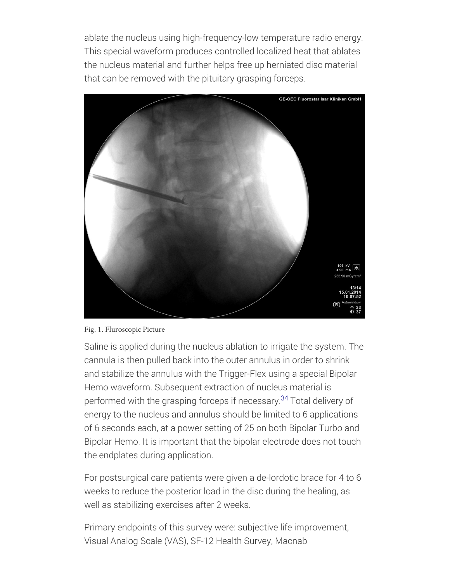ablate the nucleus using high-frequency-low temperature radio energy. This special waveform produces controlled localized heat that ablates the nucleus material and further helps free up herniated disc material that can be removed with the pituitary grasping forceps.



Fig. 1. Fluroscopic Picture

Saline is applied during the nucleus ablation to irrigate the system. The cannula is then pulled back into the outer annulus in order to shrink and stabilize the annulus with the Trigger-Flex using a special Bipolar Hemo waveform. Subsequent extraction of nucleus material is performed with the grasping forceps if necessary.<sup>34</sup> Total delivery of energy to the nucleus and annulus should be limited to 6 applications of 6 seconds each, at a power setting of 25 on both Bipolar Turbo and Bipolar Hemo. It is important that the bipolar electrode does not touch the endplates during application.

For postsurgical care patients were given a de-lordotic brace for 4 to 6 weeks to reduce the posterior load in the disc during the healing, as well as stabilizing exercises after 2 weeks.

Primary endpoints of this survey were: subjective life improvement, Visual Analog Scale (VAS), SF-12 Health Survey, Macnab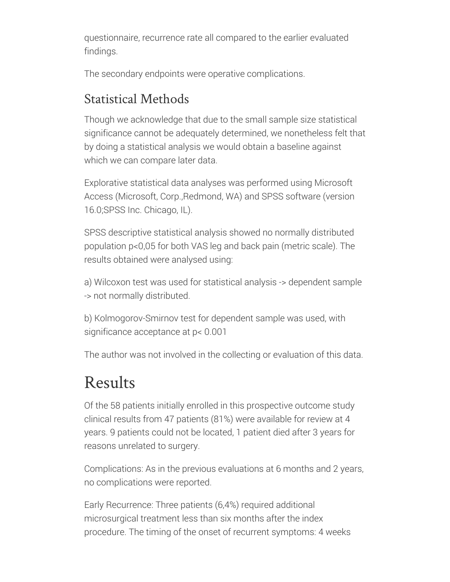questionnaire, recurrence rate all compared to the earlier evaluated findings.

The secondary endpoints were operative complications.

### Statistical Methods

Though we acknowledge that due to the small sample size statistical significance cannot be adequately determined, we nonetheless felt that by doing a statistical analysis we would obtain a baseline against which we can compare later data.

Explorative statistical data analyses was performed using Microsoft Access (Microsoft, Corp.,Redmond, WA) and SPSS software (version 16.0;SPSS Inc. Chicago, IL).

SPSS descriptive statistical analysis showed no normally distributed population p<0,05 for both VAS leg and back pain (metric scale). The results obtained were analysed using:

a) Wilcoxon test was used for statistical analysis -> dependent sample -> not normally distributed.

b) Kolmogorov-Smirnov test for dependent sample was used, with significance acceptance at p< 0.001

The author was not involved in the collecting or evaluation of this data.

## Results

Of the 58 patients initially enrolled in this prospective outcome study clinical results from 47 patients (81%) were available for review at 4 years. 9 patients could not be located, 1 patient died after 3 years for reasons unrelated to surgery.

Complications: As in the previous evaluations at 6 months and 2 years, no complications were reported.

Early Recurrence: Three patients (6,4%) required additional microsurgical treatment less than six months after the index procedure. The timing of the onset of recurrent symptoms: 4 weeks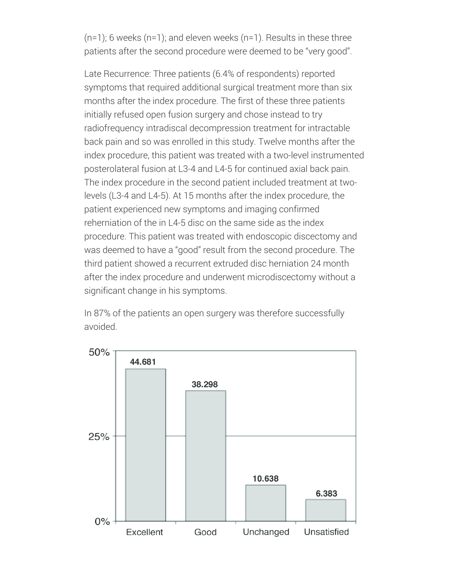$(n=1)$ ; 6 weeks  $(n=1)$ ; and eleven weeks  $(n=1)$ . Results in these three patients after the second procedure were deemed to be "very good".

Late Recurrence: Three patients (6.4% of respondents) reported symptoms that required additional surgical treatment more than six months after the index procedure. The first of these three patients initially refused open fusion surgery and chose instead to try radiofrequency intradiscal decompression treatment for intractable back pain and so was enrolled in this study. Twelve months after the index procedure, this patient was treated with a two-level instrumented posterolateral fusion at L3-4 and L4-5 for continued axial back pain. The index procedure in the second patient included treatment at twolevels (L3-4 and L4-5). At 15 months after the index procedure, the patient experienced new symptoms and imaging confirmed reherniation of the in L4-5 disc on the same side as the index procedure. This patient was treated with endoscopic discectomy and was deemed to have a "good" result from the second procedure. The third patient showed a recurrent extruded disc herniation 24 month after the index procedure and underwent microdiscectomy without a significant change in his symptoms.

In 87% of the patients an open surgery was therefore successfully avoided.

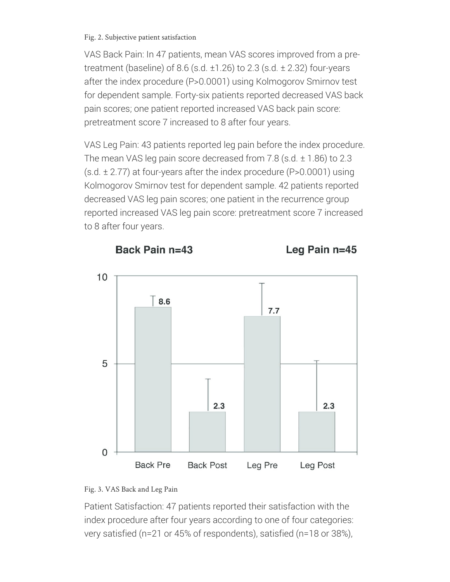#### Fig. 2. Subjective patient satisfaction

VAS Back Pain: In 47 patients, mean VAS scores improved from a pretreatment (baseline) of 8.6 (s.d.  $\pm$ 1.26) to 2.3 (s.d.  $\pm$  2.32) four-years after the index procedure (P>0.0001) using Kolmogorov Smirnov test for dependent sample. Forty-six patients reported decreased VAS back pain scores; one patient reported increased VAS back pain score: pretreatment score 7 increased to 8 after four years.

VAS Leg Pain: 43 patients reported leg pain before the index procedure. The mean VAS leg pain score decreased from 7.8 (s.d.  $\pm$  1.86) to 2.3  $(s.d. \pm 2.77)$  at four-years after the index procedure (P>0.0001) using Kolmogorov Smirnov test for dependent sample. 42 patients reported decreased VAS leg pain scores; one patient in the recurrence group reported increased VAS leg pain score: pretreatment score 7 increased to 8 after four years.





Patient Satisfaction: 47 patients reported their satisfaction with the index procedure after four years according to one of four categories: very satisfied (n=21 or 45% of respondents), satisfied (n=18 or 38%),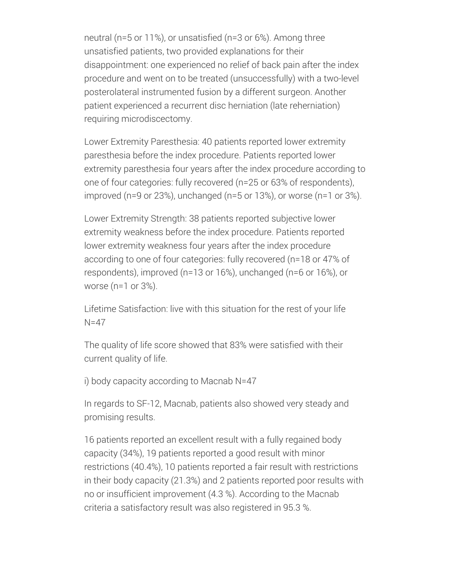neutral (n=5 or 11%), or unsatisfied (n=3 or 6%). Among three unsatisfied patients, two provided explanations for their disappointment: one experienced no relief of back pain after the index procedure and went on to be treated (unsuccessfully) with a two-level posterolateral instrumented fusion by a different surgeon. Another patient experienced a recurrent disc herniation (late reherniation) requiring microdiscectomy.

Lower Extremity Paresthesia: 40 patients reported lower extremity paresthesia before the index procedure. Patients reported lower extremity paresthesia four years after the index procedure according to one of four categories: fully recovered (n=25 or 63% of respondents), improved (n=9 or 23%), unchanged (n=5 or 13%), or worse (n=1 or 3%).

Lower Extremity Strength: 38 patients reported subjective lower extremity weakness before the index procedure. Patients reported lower extremity weakness four years after the index procedure according to one of four categories: fully recovered (n=18 or 47% of respondents), improved (n=13 or 16%), unchanged (n=6 or 16%), or worse (n=1 or 3%).

Lifetime Satisfaction: live with this situation for the rest of your life N=47

The quality of life score showed that 83% were satisfied with their current quality of life.

i) body capacity according to Macnab N=47

In regards to SF-12, Macnab, patients also showed very steady and promising results.

16 patients reported an excellent result with a fully regained body capacity (34%), 19 patients reported a good result with minor restrictions (40.4%), 10 patients reported a fair result with restrictions in their body capacity (21.3%) and 2 patients reported poor results with no or insufficient improvement (4.3 %). According to the Macnab criteria a satisfactory result was also registered in 95.3 %.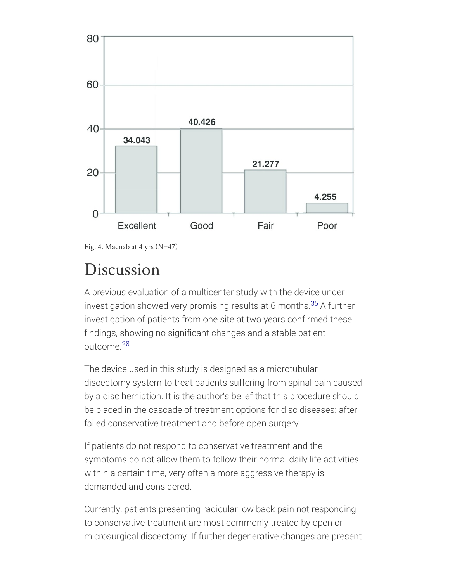

Fig. 4. Macnab at 4 yrs  $(N=47)$ 

### Discussion

A previous evaluation of a multicenter study with the device under investigation showed very promising results at 6 months.<sup>35</sup> A further investigation of patients from one site at two years confirmed these findings, showing no significant changes and a stable patient outcome.<sup>28</sup>

The device used in this study is designed as a microtubular discectomy system to treat patients suffering from spinal pain caused by a disc herniation. It is the author's belief that this procedure should be placed in the cascade of treatment options for disc diseases: after failed conservative treatment and before open surgery.

If patients do not respond to conservative treatment and the symptoms do not allow them to follow their normal daily life activities within a certain time, very often a more aggressive therapy is demanded and considered.

Currently, patients presenting radicular low back pain not responding to conservative treatment are most commonly treated by open or microsurgical discectomy. If further degenerative changes are present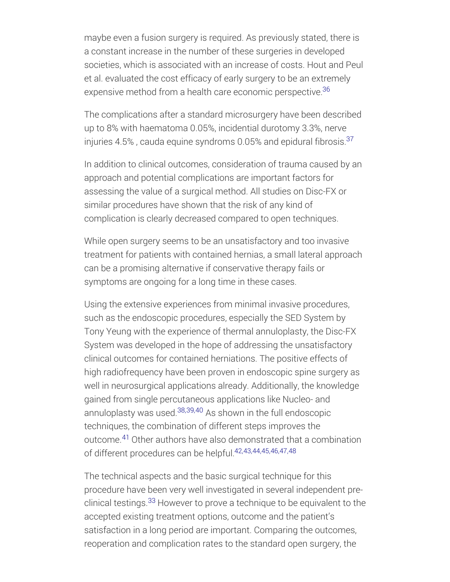maybe even a fusion surgery is required. As previously stated, there is a constant increase in the number of these surgeries in developed societies, which is associated with an increase of costs. Hout and Peul et al. evaluated the cost efficacy of early surgery to be an extremely expensive method from a health care economic perspective. 36

The complications after a standard microsurgery have been described up to 8% with haematoma 0.05%, incidential durotomy 3.3%, nerve injuries 4.5% , cauda equine syndroms 0.05% and epidural fibrosis. 37

In addition to clinical outcomes, consideration of trauma caused by an approach and potential complications are important factors for assessing the value of a surgical method. All studies on Disc-FX or similar procedures have shown that the risk of any kind of complication is clearly decreased compared to open techniques.

While open surgery seems to be an unsatisfactory and too invasive treatment for patients with contained hernias, a small lateral approach can be a promising alternative if conservative therapy fails or symptoms are ongoing for a long time in these cases.

Using the extensive experiences from minimal invasive procedures, such as the endoscopic procedures, especially the SED System by Tony Yeung with the experience of thermal annuloplasty, the Disc-FX System was developed in the hope of addressing the unsatisfactory clinical outcomes for contained herniations. The positive effects of high radiofrequency have been proven in endoscopic spine surgery as well in neurosurgical applications already. Additionally, the knowledge gained from single percutaneous applications like Nucleo- and annuloplasty was used.<sup>38,39,40</sup> As shown in the full endoscopic techniques, the combination of different steps improves the outcome.<sup>41</sup> Other authors have also demonstrated that a combination of different procedures can be helpful.<sup>42,43,44,45,46,47,48</sup>

The technical aspects and the basic surgical technique for this procedure have been very well investigated in several independent preclinical testings.<sup>33</sup> However to prove a technique to be equivalent to the accepted existing treatment options, outcome and the patient's satisfaction in a long period are important. Comparing the outcomes, reoperation and complication rates to the standard open surgery, the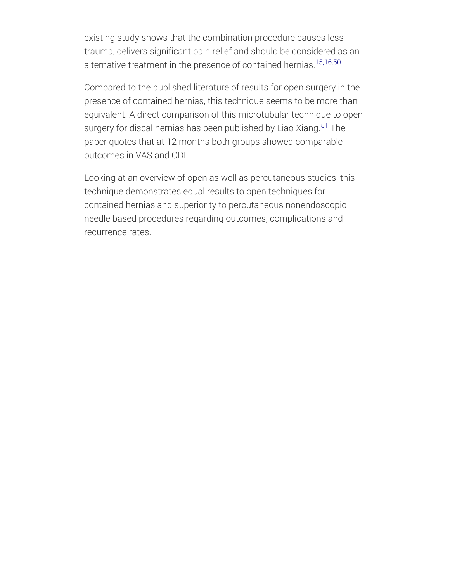existing study shows that the combination procedure causes less trauma, delivers significant pain relief and should be considered as an alternative treatment in the presence of contained hernias. 15,16,50

Compared to the published literature of results for open surgery in the presence of contained hernias, this technique seems to be more than equivalent. A direct comparison of this microtubular technique to open surgery for discal hernias has been published by Liao Xiang.<sup>51</sup> The paper quotes that at 12 months both groups showed comparable outcomes in VAS and ODI.

Looking at an overview of open as well as percutaneous studies, this technique demonstrates equal results to open techniques for contained hernias and superiority to percutaneous nonendoscopic needle based procedures regarding outcomes, complications and recurrence rates.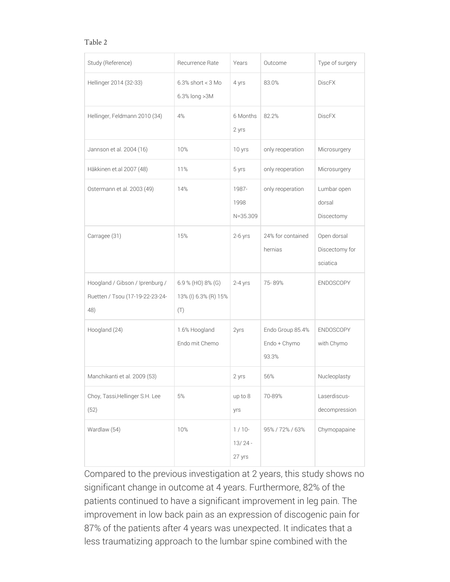#### Table 2

| Study (Reference)                                                         | Recurrence Rate                                     | Years                          | Outcome                                   | Type of surgery                           |
|---------------------------------------------------------------------------|-----------------------------------------------------|--------------------------------|-------------------------------------------|-------------------------------------------|
| Hellinger 2014 (32-33)                                                    | $6.3\%$ short < 3 Mo<br>6.3% long > 3M              | 4 yrs                          | 83.0%                                     | <b>DiscFX</b>                             |
| Hellinger, Feldmann 2010 (34)                                             | 4%                                                  | 6 Months<br>2 yrs              | 82.2%                                     | <b>DiscFX</b>                             |
| Jannson et al. 2004 (16)                                                  | 10%                                                 | 10 yrs                         | only reoperation                          | Microsurgery                              |
| Häkkinen et.al 2007 (48)                                                  | 11%                                                 | 5 yrs                          | only reoperation                          | Microsurgery                              |
| Ostermann et al. 2003 (49)                                                | 14%                                                 | 1987-<br>1998<br>$N = 35.309$  | only reoperation                          | Lumbar open<br>dorsal<br>Discectomy       |
| Carragee (31)                                                             | 15%                                                 | $2-6$ yrs                      | 24% for contained<br>hernias              | Open dorsal<br>Discectomy for<br>sciatica |
| Hoogland / Gibson / Iprenburg /<br>Ruetten / Tsou (17-19-22-23-24-<br>48) | 6.9 % (HO) $8\%$ (G)<br>13% (I) 6.3% (R) 15%<br>(T) | $2-4$ yrs                      | 75-89%                                    | <b>ENDOSCOPY</b>                          |
| Hoogland (24)                                                             | 1.6% Hoogland<br>Endo mit Chemo                     | 2yrs                           | Endo Group 85.4%<br>Endo + Chymo<br>93.3% | <b>ENDOSCOPY</b><br>with Chymo            |
| Manchikanti et al. 2009 (53)                                              |                                                     | 2 yrs                          | 56%                                       | Nucleoplasty                              |
| Choy, Tassi, Hellinger S.H. Lee<br>(52)                                   | 5%                                                  | up to 8<br>yrs                 | 70-89%                                    | Laserdiscus-<br>decompression             |
| Wardlaw (54)                                                              | 10%                                                 | $1/10-$<br>$13/24 -$<br>27 yrs | 95% / 72% / 63%                           | Chymopapaine                              |

Compared to the previous investigation at 2 years, this study shows no significant change in outcome at 4 years. Furthermore, 82% of the patients continued to have a significant improvement in leg pain. The improvement in low back pain as an expression of discogenic pain for 87% of the patients after 4 years was unexpected. It indicates that a less traumatizing approach to the lumbar spine combined with the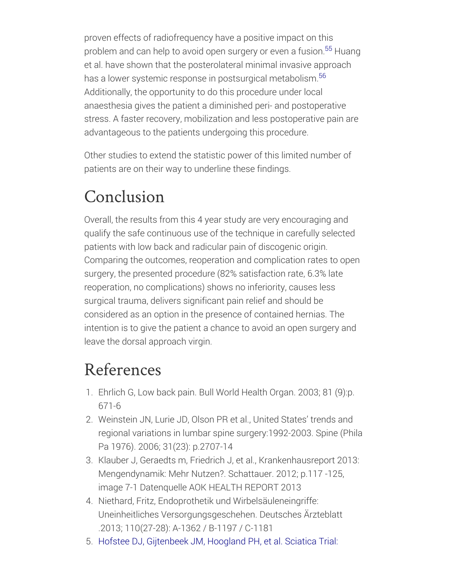proven effects of radiofrequency have a positive impact on this problem and can help to avoid open surgery or even a fusion.<sup>55</sup> Huang et al. have shown that the posterolateral minimal invasive approach has a lower systemic response in postsurgical metabolism. 56Additionally, the opportunity to do this procedure under local anaesthesia gives the patient a diminished peri- and postoperative stress. A faster recovery, mobilization and less postoperative pain are advantageous to the patients undergoing this procedure.

Other studies to extend the statistic power of this limited number of patients are on their way to underline these findings.

## Conclusion

Overall, the results from this 4 year study are very encouraging and qualify the safe continuous use of the technique in carefully selected patients with low back and radicular pain of discogenic origin. Comparing the outcomes, reoperation and complication rates to open surgery, the presented procedure (82% satisfaction rate, 6.3% late reoperation, no complications) shows no inferiority, causes less surgical trauma, delivers significant pain relief and should be considered as an option in the presence of contained hernias. The intention is to give the patient a chance to avoid an open surgery and leave the dorsal approach virgin.

### References

- 1. Ehrlich G, Low back pain. Bull World Health Organ. 2003; 81 (9):p. 671-6
- 2. Weinstein JN, Lurie JD, Olson PR et al., United States' trends and regional variations in lumbar spine surgery:1992-2003. Spine (Phila Pa 1976). 2006; 31(23): p.2707-14
- 3. Klauber J, Geraedts m, Friedrich J, et al., Krankenhausreport 2013: Mengendynamik: Mehr Nutzen?. Schattauer. 2012; p.117 -125, image 7-1 Datenquelle AOK HEALTH REPORT 2013
- 4. Niethard, Fritz, Endoprothetik und Wirbelsäuleneingriffe: Uneinheitliches Versorgungsgeschehen. Deutsches Ärzteblatt .2013; 110(27-28): A-1362 / B-1197 / C-1181
- 5. Hofstee DJ, Gijtenbeek JM, Hoogland PH, et al. Sciatica Trial: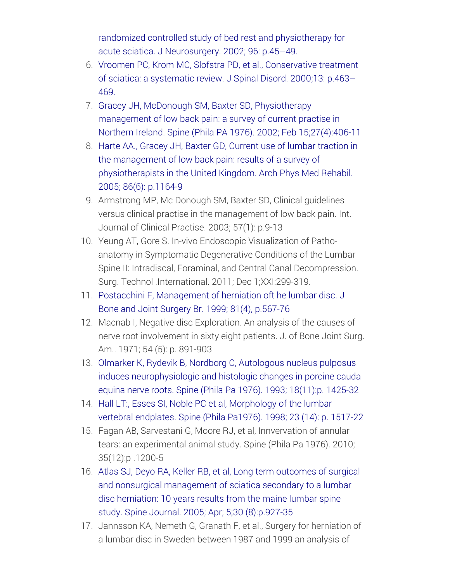randomized controlled study of bed rest and physiotherapy for acute sciatica. J [Neurosurgery.](http://dx.doi.org/10.3171/spi.2002.96.1.0045) 2002; 96: p.45–49.

- 6. Vroomen PC, Krom MC, Slofstra PD, et al., [Conservative](http://dx.doi.org/10.1097/00002517-200012000-00001) treatment of sciatica: a systematic review. J Spinal Disord. 2000;13: p.463– 469.
- 7. Gracey JH, McDonough SM, Baxter SD, Physiotherapy management of low back pain: a survey of current practise in Northern Ireland. Spine (Phila PA 1976). 2002; Feb [15;27\(4\):406-11](http://dx.doi.org/10.1097/00007632-200202150-00017)
- 8. Harte AA., Gracey JH, Baxter GD, Current use of lumbar traction in the management of low back pain: results of a survey of [physiotherapists](http://dx.doi.org/10.1016/j.apmr.2004.11.040) in the United Kingdom. Arch Phys Med Rehabil. 2005; 86(6): p.1164-9
- 9. Armstrong MP, Mc Donough SM, Baxter SD, Clinical guidelines versus clinical practise in the management of low back pain. Int. Journal of Clinical Practise. 2003; 57(1): p.9-13
- 10. Yeung AT, Gore S. In-vivo Endoscopic Visualization of Pathoanatomy in Symptomatic Degenerative Conditions of the Lumbar Spine II: Intradiscal, Foraminal, and Central Canal Decompression. Surg. Technol .International. 2011; Dec 1;XXI:299-319.
- 11. Postacchini F, [Management](http://dx.doi.org/10.1302/0301-620x.81b4.10213) of herniation oft he lumbar disc. J Bone and Joint Surgery Br. 1999; 81(4), p.567-76
- 12. Macnab I, Negative disc Exploration. An analysis of the causes of nerve root involvement in sixty eight patients. J. of Bone Joint Surg. Am.. 1971; 54 (5): p. 891-903
- 13. Olmarker K, Rydevik B, Nordborg C, Autologous nucleus pulposus induces [neurophysiologic](http://dx.doi.org/10.1097/00007632-199309010-00005) and histologic changes in porcine cauda equina nerve roots. Spine (Phila Pa 1976). 1993; 18(11):p. 1425-32
- 14. Hall LT:, Esses SI, Noble PC et al, [Morphology](http://dx.doi.org/10.1097/00007632-199807150-00002) of the lumbar vertebral endplates. Spine (Phila Pa1976). 1998; 23 (14): p. 1517-22
- 15. Fagan AB, Sarvestani G, Moore RJ, et al, Innvervation of annular tears: an experimental animal study. Spine (Phila Pa 1976). 2010; 35(12):p .1200-5
- 16. Atlas SJ, Deyo RA, Keller RB, et al, Long term outcomes of surgical and nonsurgical [management](http://dx.doi.org/10.1097/01.brs.0000158954.68522.2a) of sciatica secondary to a lumbar disc herniation: 10 years results from the maine lumbar spine study. Spine Journal. 2005; Apr; 5;30 (8):p.927-35
- 17. Jannsson KA, Nemeth G, Granath F, et al., Surgery for herniation of a lumbar disc in Sweden between 1987 and 1999 an analysis of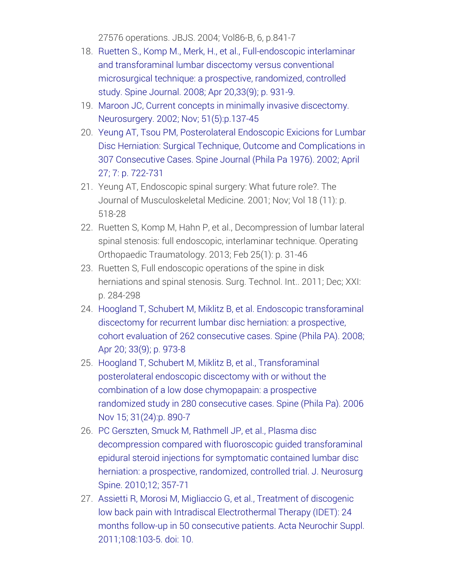27576 operations. JBJS. 2004; Vol86-B, 6, p.841-7

- 18. Ruetten S., Komp M., Merk, H., et al., [Full-endoscopic](http://dx.doi.org/10.1097/brs.0b013e31816c8af7) interlaminar and transforaminal lumbar discectomy versus conventional microsurgical technique: a prospective, randomized, controlled study. Spine Journal. 2008; Apr 20,33(9); p. 931-9.
- 19. Maroon JC, Current concepts in minimally invasive discectomy. Neurosurgery. 2002; Nov; [51\(5\):p.137-45](http://dx.doi.org/10.1097/00006123-200211002-00019)
- 20. Yeung AT, Tsou PM, Posterolateral Endoscopic Exicions for Lumbar Disc Herniation: Surgical Technique, Outcome and [Complications](http://dx.doi.org/10.1097/00007632-200204010-00009) in 307 Consecutive Cases. Spine Journal (Phila Pa 1976). 2002; April 27; 7: p. 722-731
- 21. Yeung AT, Endoscopic spinal surgery: What future role?. The Journal of Musculoskeletal Medicine. 2001; Nov; Vol 18 (11): p. 518-28
- 22. Ruetten S, Komp M, Hahn P, et al., Decompression of lumbar lateral spinal stenosis: full endoscopic, interlaminar technique. Operating Orthopaedic Traumatology. 2013; Feb 25(1): p. 31-46
- 23. Ruetten S, Full endoscopic operations of the spine in disk herniations and spinal stenosis. Surg. Technol. Int.. 2011; Dec; XXI: p. 284-298
- 24. Hoogland T, Schubert M, Miklitz B, et al. Endoscopic [transforaminal](http://dx.doi.org/10.1097/brs.0b013e31816c8ade) discectomy for recurrent lumbar disc herniation: a prospective, cohort evaluation of 262 consecutive cases. Spine (Phila PA). 2008; Apr 20; 33(9); p. 973-8
- 25. Hoogland T, Schubert M, Miklitz B, et al., [Transforaminal](http://dx.doi.org/10.1097/01.brs.0000245955.22358.3a) posterolateral endoscopic discectomy with or without the combination of a low dose chymopapain: a prospective randomized study in 280 consecutive cases. Spine (Phila Pa). 2006 Nov 15; 31(24):p. 890-7
- 26. PC Gerszten, Smuck M, Rathmell JP, et al., Plasma disc [decompression](http://dx.doi.org/10.1016/j.spinee.2011.01.006) compared with fluoroscopic guided transforaminal epidural steroid injections for symptomatic contained lumbar disc herniation: a prospective, randomized, controlled trial. J. Neurosurg Spine. 2010;12; 357-71
- 27. Assietti R, Morosi M, Migliaccio G, et al., Treatment of discogenic low back pain with Intradiscal Electrothermal Therapy (IDET): 24 months follow-up in 50 consecutive patients. Acta Neurochir Suppl. [2011;108:103-5.](http://dx.doi.org/10.1007/978-3-211-99370-5_15) doi: 10.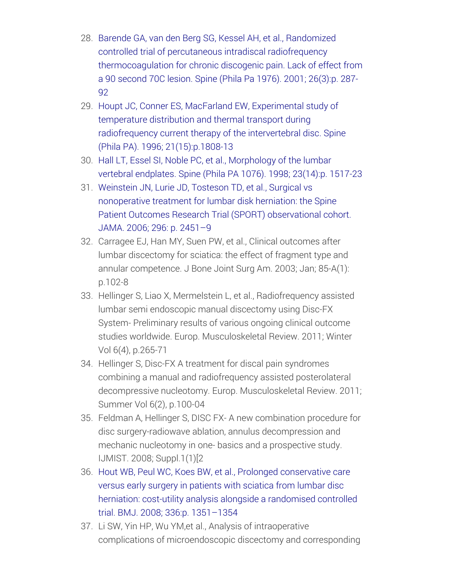- 28. Barende GA, van den Berg SG, Kessel AH, et al., Randomized controlled trial of percutaneous intradiscal radiofrequency [thermocoagulation](http://dx.doi.org/10.1097/00007632-200102010-00014) for chronic discogenic pain. Lack of effect from a 90 second 70C lesion. Spine (Phila Pa 1976). 2001; 26(3):p. 287- 92
- 29. Houpt JC, Conner ES, MacFarland EW, Experimental study of temperature distribution and thermal transport during radiofrequency current therapy of the intervertebral disc. Spine (Phila PA). 1996; [21\(15\):p.1808-13](http://dx.doi.org/10.1097/00007632-199608010-00018)
- 30. Hall LT, Essel SI, Noble PC, et al., [Morphology](http://dx.doi.org/10.1097/00007632-199807150-00002) of the lumbar vertebral endplates. Spine (Phila PA 1076). 1998; 23(14):p. 1517-23
- 31. Weinstein JN, Lurie JD, Tosteson TD, et al., Surgical vs nonoperative treatment for lumbar disk herniation: the Spine Patient Outcomes Research Trial (SPORT) [observational](http://dx.doi.org/10.1001/jama.296.20.2451) cohort. JAMA. 2006; 296: p. 2451–9
- 32. Carragee EJ, Han MY, Suen PW, et al., Clinical outcomes after lumbar discectomy for sciatica: the effect of fragment type and annular competence. J Bone Joint Surg Am. 2003; Jan; 85-A(1): p.102-8
- 33. Hellinger S, Liao X, Mermelstein L, et al., Radiofrequency assisted lumbar semi endoscopic manual discectomy using Disc-FX System- Preliminary results of various ongoing clinical outcome studies worldwide. Europ. Musculoskeletal Review. 2011; Winter Vol 6(4), p.265-71
- 34. Hellinger S, Disc-FX A treatment for discal pain syndromes combining a manual and radiofrequency assisted posterolateral decompressive nucleotomy. Europ. Musculoskeletal Review. 2011; Summer Vol 6(2), p.100-04
- 35. Feldman A, Hellinger S, DISC FX- A new combination procedure for disc surgery-radiowave ablation, annulus decompression and mechanic nucleotomy in one- basics and a prospective study. IJMIST. 2008; Suppl.1(1)[2
- 36. Hout WB, Peul WC, Koes BW, et al., Prolonged [conservative](http://dx.doi.org/10.1136/bmj.39583.709074.be) care versus early surgery in patients with sciatica from lumbar disc herniation: cost-utility analysis alongside a randomised controlled trial. BMJ. 2008; 336:p. 1351–1354
- 37. Li SW, Yin HP, Wu YM,et al., Analysis of intraoperative complications of microendoscopic discectomy and corresponding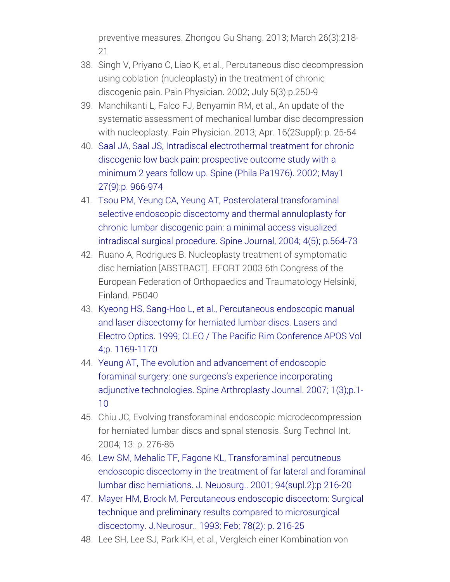preventive measures. Zhongou Gu Shang. 2013; March 26(3):218- 21

- 38. Singh V, Priyano C, Liao K, et al., Percutaneous disc decompression using coblation (nucleoplasty) in the treatment of chronic discogenic pain. Pain Physician. 2002; July 5(3):p.250-9
- 39. Manchikanti L, Falco FJ, Benyamin RM, et al., An update of the systematic assessment of mechanical lumbar disc decompression with nucleoplasty. Pain Physician. 2013; Apr. 16(2Suppl): p. 25-54
- 40. Saal JA, Saal JS, Intradiscal [electrothermal](http://dx.doi.org/10.1097/00007632-200205010-00017) treatment for chronic discogenic low back pain: prospective outcome study with a minimum 2 years follow up. Spine (Phila Pa1976). 2002; May1 27(9):p. 966-974
- 41. Tsou PM, Yeung CA, Yeung AT, Posterolateral [transforaminal](http://dx.doi.org/10.1016/j.spinee.2004.01.014) selective endoscopic discectomy and thermal annuloplasty for chronic lumbar discogenic pain: a minimal access visualized intradiscal surgical procedure. Spine Journal, 2004; 4(5); p.564-73
- 42. Ruano A, Rodrigues B. Nucleoplasty treatment of symptomatic disc herniation [ABSTRACT]. EFORT 2003 6th Congress of the European Federation of Orthopaedics and Traumatology Helsinki, Finland. P5040
- 43. Kyeong HS, Sang-Hoo L, et al., [Percutaneous](http://dx.doi.org/10.1109/cleopr.1999.814718) endoscopic manual and laser discectomy for herniated lumbar discs. Lasers and Electro Optics. 1999; CLEO / The Pacific Rim Conference APOS Vol 4;p. 1169-1170
- 44. Yeung AT, The evolution and [advancement](http://dx.doi.org/10.1016/s1935-9810(07)70055-5) of endoscopic foraminal surgery: one surgeons's experience incorporating adjunctive technologies. Spine Arthroplasty Journal. 2007; 1(3);p.1- 10
- 45. Chiu JC, Evolving transforaminal endoscopic microdecompression for herniated lumbar discs and spnal stenosis. Surg Technol Int. 2004; 13: p. 276-86
- 46. Lew SM, Mehalic TF, Fagone KL, [Transforaminal](http://dx.doi.org/10.3171/spi.2001.94.2.0216) percutneous endoscopic discectomy in the treatment of far lateral and foraminal lumbar disc herniations. J. Neuosurg.. 2001; 94(supl.2):p 216-20
- 47. Mayer HM, Brock M, [Percutaneous](http://dx.doi.org/10.3171/jns.1993.78.2.0216) endoscopic discectom: Surgical technique and preliminary results compared to microsurgical discectomy. J.Neurosur.. 1993; Feb; 78(2): p. 216-25
- 48. Lee SH, Lee SJ, Park KH, et al., Vergleich einer Kombination von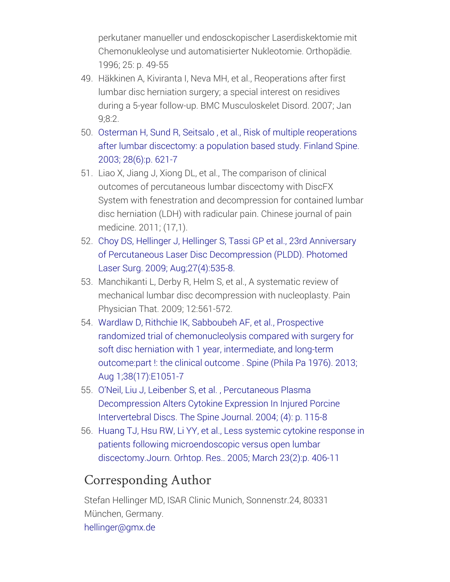perkutaner manueller und endosckopischer Laserdiskektomie mit Chemonukleolyse und automatisierter Nukleotomie. Orthopädie. 1996; 25: p. 49-55

- 49. Häkkinen A, Kiviranta I, Neva MH, et al., Reoperations after first lumbar disc herniation surgery; a special interest on residives during a 5-year follow-up. BMC Musculoskelet Disord. 2007; Jan 9;8:2.
- 50. Osterman H, Sund R, Seitsalo , et al., Risk of multiple [reoperations](http://dx.doi.org/10.1097/01.brs.0000049908.15854.ed) after lumbar discectomy: a population based study. Finland Spine. 2003; 28(6):p. 621-7
- 51. Liao X, Jiang J, Xiong DL, et al., The comparison of clinical outcomes of percutaneous lumbar discectomy with DiscFX System with fenestration and decompression for contained lumbar disc herniation (LDH) with radicular pain. Chinese journal of pain medicine. 2011; (17,1).
- 52. Choy DS, Hellinger J, Hellinger S, Tassi GP et al., 23rd Anniversary of Percutaneous Laser Disc Decompression (PLDD). Photomed Laser Surg. 2009; [Aug;27\(4\):535-8.](http://dx.doi.org/10.1089/pho.2009.2512)
- 53. Manchikanti L, Derby R, Helm S, et al., A systematic review of mechanical lumbar disc decompression with nucleoplasty. Pain Physician That. 2009; 12:561-572.
- 54. Wardlaw D, Rithchie IK, Sabboubeh AF, et al., Prospective randomized trial of [chemonucleolysis](http://dx.doi.org/10.1097/brs.0b013e31829729b3) compared with surgery for soft disc herniation with 1 year, intermediate, and long-term outcome:part !: the clinical outcome . Spine (Phila Pa 1976). 2013; Aug 1;38(17):E1051-7
- 55. O'Neil, Liu J, Leibenber S, et al. , Percutaneous Plasma [Decompression](http://dx.doi.org/10.1016/s1529-9430(03)00423-6) Alters Cytokine Expression In Injured Porcine Intervertebral Discs. The Spine Journal. 2004; (4): p. 115-8
- 56. Huang TJ, Hsu RW, Li YY, et al., Less systemic cytokine response in patients following microendoscopic versus open lumbar [discectomy.Journ.](http://dx.doi.org/10.1016/j.orthres.2004.08.010) Orhtop. Res.. 2005; March 23(2):p. 406-11

### Corresponding Author

Stefan Hellinger MD, ISAR Clinic Munich, Sonnenstr.24, 80331 München, Germany. [hellinger@gmx.de](mailto:hellinger%40gmx.de)